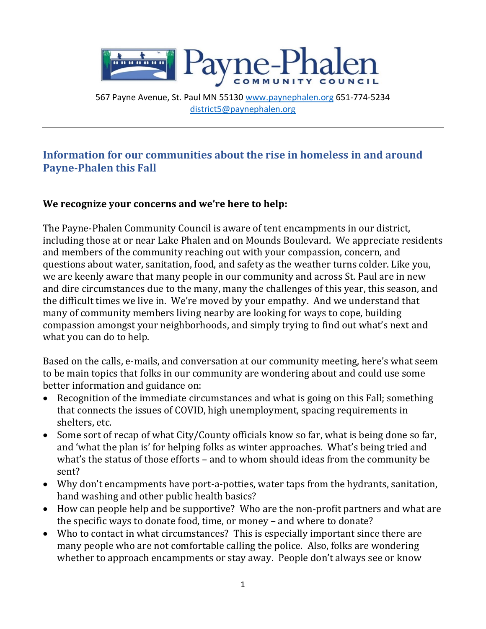

567 Payne Avenue, St. Paul MN 55130 [www.paynephalen.org](http://www.paynephalen.org/) 651-774-5234 [district5@paynephalen.org](mailto:district5@paynephalen.org)

# **Information for our communities about the rise in homeless in and around Payne-Phalen this Fall**

### **We recognize your concerns and we're here to help:**

The Payne-Phalen Community Council is aware of tent encampments in our district, including those at or near Lake Phalen and on Mounds Boulevard. We appreciate residents and members of the community reaching out with your compassion, concern, and questions about water, sanitation, food, and safety as the weather turns colder. Like you, we are keenly aware that many people in our community and across St. Paul are in new and dire circumstances due to the many, many the challenges of this year, this season, and the difficult times we live in. We're moved by your empathy. And we understand that many of community members living nearby are looking for ways to cope, building compassion amongst your neighborhoods, and simply trying to find out what's next and what you can do to help.

Based on the calls, e-mails, and conversation at our community meeting, here's what seem to be main topics that folks in our community are wondering about and could use some better information and guidance on:

- Recognition of the immediate circumstances and what is going on this Fall; something that connects the issues of COVID, high unemployment, spacing requirements in shelters, etc.
- Some sort of recap of what City/County officials know so far, what is being done so far, and 'what the plan is' for helping folks as winter approaches. What's being tried and what's the status of those efforts – and to whom should ideas from the community be sent?
- Why don't encampments have port-a-potties, water taps from the hydrants, sanitation, hand washing and other public health basics?
- How can people help and be supportive? Who are the non-profit partners and what are the specific ways to donate food, time, or money – and where to donate?
- Who to contact in what circumstances? This is especially important since there are many people who are not comfortable calling the police. Also, folks are wondering whether to approach encampments or stay away. People don't always see or know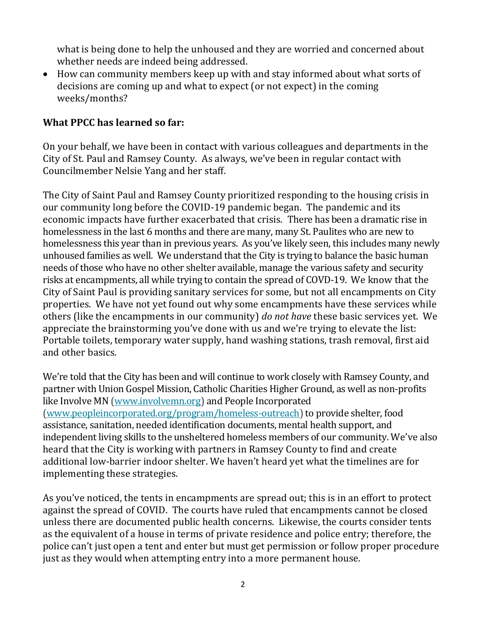what is being done to help the unhoused and they are worried and concerned about whether needs are indeed being addressed.

• How can community members keep up with and stay informed about what sorts of decisions are coming up and what to expect (or not expect) in the coming weeks/months?

#### **What PPCC has learned so far:**

On your behalf, we have been in contact with various colleagues and departments in the City of St. Paul and Ramsey County. As always, we've been in regular contact with Councilmember Nelsie Yang and her staff.

The City of Saint Paul and Ramsey County prioritized responding to the housing crisis in our community long before the COVID-19 pandemic began. The pandemic and its economic impacts have further exacerbated that crisis. There has been a dramatic rise in homelessness in the last 6 months and there are many, many St. Paulites who are new to homelessness this year than in previous years. As you've likely seen, this includes many newly unhoused families as well. We understand that the City is trying to balance the basic human needs of those who have no other shelter available, manage the various safety and security risks at encampments, all while trying to contain the spread of COVD-19. We know that the City of Saint Paul is providing sanitary services for some, but not all encampments on City properties. We have not yet found out why some encampments have these services while others (like the encampments in our community) *do not have* these basic services yet. We appreciate the brainstorming you've done with us and we're trying to elevate the list: Portable toilets, temporary water supply, hand washing stations, trash removal, first aid and other basics.

We're told that the City has been and will continue to work closely with Ramsey County, and partner with Union Gospel Mission, Catholic Charities Higher Ground, as well as non-profits like Involve MN [\(www.involvemn.org\)](http://www.involvemn.org/) and People Incorporated [\(www.peopleincorporated.org/program/homeless-outreach\)](http://www.peopleincorporated.org/program/homeless-outreach) to provide shelter, food assistance, sanitation, needed identification documents, mental health support, and independent living skills to the unsheltered homeless members of our community. We've also heard that the City is working with partners in Ramsey County to find and create additional low-barrier indoor shelter. We haven't heard yet what the timelines are for implementing these strategies.

As you've noticed, the tents in encampments are spread out; this is in an effort to protect against the spread of COVID. The courts have ruled that encampments cannot be closed unless there are documented public health concerns. Likewise, the courts consider tents as the equivalent of a house in terms of private residence and police entry; therefore, the police can't just open a tent and enter but must get permission or follow proper procedure just as they would when attempting entry into a more permanent house.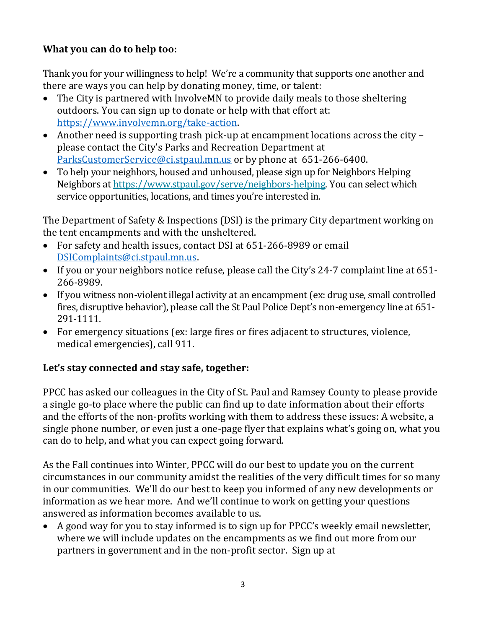# **What you can do to help too:**

Thank you for your willingness to help! We're a community that supports one another and there are ways you can help by donating money, time, or talent:

- The City is partnered with InvolveMN to provide daily meals to those sheltering outdoors. You can sign up to donate or help with that effort at: [https://www.involvemn.org/take-action.](https://www.involvemn.org/take-action)
- Another need is supporting trash pick-up at encampment locations across the city please contact the City's Parks and Recreation Department at [ParksCustomerService@ci.stpaul.mn.us](mailto:ParksCustomerService@ci.stpaul.mn.us) or by phone at 651-266-6400.
- To help your neighbors, housed and unhoused, please sign up for Neighbors Helping Neighbors a[t https://www.stpaul.gov/serve/neighbors-helping.](https://www.stpaul.gov/serve/neighbors-helping) You can select which service opportunities, locations, and times you're interested in.

The Department of Safety & Inspections (DSI) is the primary City department working on the tent encampments and with the unsheltered.

- For safety and health issues, contact DSI at 651-266-8989 or email [DSIComplaints@ci.stpaul.mn.us.](mailto:DSIComplaints@ci.stpaul.mn.us)
- If you or your neighbors notice refuse, please call the City's 24-7 complaint line at 651- 266-8989.
- If you witness non-violent illegal activity at an encampment (ex: drug use, small controlled fires, disruptive behavior), please call the St Paul Police Dept's non-emergency line at 651- 291-1111.
- For emergency situations (ex: large fires or fires adjacent to structures, violence, medical emergencies), call 911.

### **Let's stay connected and stay safe, together:**

PPCC has asked our colleagues in the City of St. Paul and Ramsey County to please provide a single go-to place where the public can find up to date information about their efforts and the efforts of the non-profits working with them to address these issues: A website, a single phone number, or even just a one-page flyer that explains what's going on, what you can do to help, and what you can expect going forward.

As the Fall continues into Winter, PPCC will do our best to update you on the current circumstances in our community amidst the realities of the very difficult times for so many in our communities. We'll do our best to keep you informed of any new developments or information as we hear more. And we'll continue to work on getting your questions answered as information becomes available to us.

• A good way for you to stay informed is to sign up for PPCC's weekly email newsletter, where we will include updates on the encampments as we find out more from our partners in government and in the non-profit sector. Sign up at